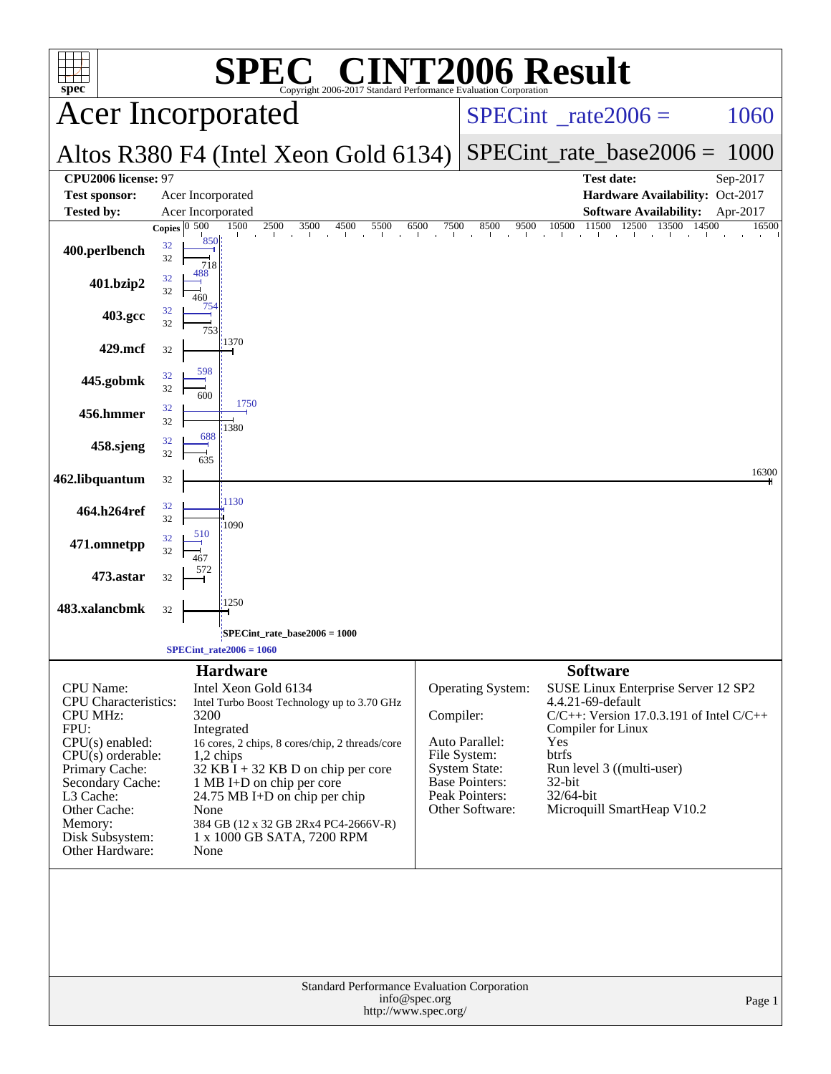| $\blacksquare$<br><b>72006 Result</b><br>$spec^*$<br>Copyright 2006-2017 Standard Performance Evaluation Corporation                                                                                                                       |                                                                                                                                                                                                                                                                                                                                                                          |                                                                                                                                                        |                                                                                                                                                                                                                                                         |  |  |  |  |
|--------------------------------------------------------------------------------------------------------------------------------------------------------------------------------------------------------------------------------------------|--------------------------------------------------------------------------------------------------------------------------------------------------------------------------------------------------------------------------------------------------------------------------------------------------------------------------------------------------------------------------|--------------------------------------------------------------------------------------------------------------------------------------------------------|---------------------------------------------------------------------------------------------------------------------------------------------------------------------------------------------------------------------------------------------------------|--|--|--|--|
|                                                                                                                                                                                                                                            | <b>Acer Incorporated</b>                                                                                                                                                                                                                                                                                                                                                 |                                                                                                                                                        | $SPECint^{\circ}$ rate $2006 =$<br>1060                                                                                                                                                                                                                 |  |  |  |  |
|                                                                                                                                                                                                                                            | Altos R380 F4 (Intel Xeon Gold 6134)                                                                                                                                                                                                                                                                                                                                     |                                                                                                                                                        | $SPECint_rate\_base2006 =$<br>1000                                                                                                                                                                                                                      |  |  |  |  |
| CPU2006 license: 97<br><b>Test sponsor:</b><br><b>Tested by:</b>                                                                                                                                                                           | Acer Incorporated<br>Acer Incorporated                                                                                                                                                                                                                                                                                                                                   |                                                                                                                                                        | <b>Test date:</b><br>Sep-2017<br>Hardware Availability: Oct-2017<br><b>Software Availability:</b><br>Apr-2017                                                                                                                                           |  |  |  |  |
|                                                                                                                                                                                                                                            | 1500<br>2500<br>3500<br>4500<br>5500<br>6500<br>Copies $0\overline{500}$<br>850                                                                                                                                                                                                                                                                                          | 7500<br>8500                                                                                                                                           | 11500<br>12500 13500<br>9500<br>10500<br>14500<br>16500                                                                                                                                                                                                 |  |  |  |  |
| 400.perlbench                                                                                                                                                                                                                              | 32<br>32<br>718                                                                                                                                                                                                                                                                                                                                                          |                                                                                                                                                        |                                                                                                                                                                                                                                                         |  |  |  |  |
| 401.bzip2                                                                                                                                                                                                                                  | 32<br>32<br>460                                                                                                                                                                                                                                                                                                                                                          |                                                                                                                                                        |                                                                                                                                                                                                                                                         |  |  |  |  |
| 403.gcc                                                                                                                                                                                                                                    | 754<br>32<br>32<br>753                                                                                                                                                                                                                                                                                                                                                   |                                                                                                                                                        |                                                                                                                                                                                                                                                         |  |  |  |  |
| 429.mcf                                                                                                                                                                                                                                    | 1370<br>32                                                                                                                                                                                                                                                                                                                                                               |                                                                                                                                                        |                                                                                                                                                                                                                                                         |  |  |  |  |
| 445.gobmk                                                                                                                                                                                                                                  | 598<br>32<br>32                                                                                                                                                                                                                                                                                                                                                          |                                                                                                                                                        |                                                                                                                                                                                                                                                         |  |  |  |  |
| 456.hmmer                                                                                                                                                                                                                                  | 600<br>1750<br>32                                                                                                                                                                                                                                                                                                                                                        |                                                                                                                                                        |                                                                                                                                                                                                                                                         |  |  |  |  |
| 458.sjeng                                                                                                                                                                                                                                  | 32<br>1380<br>688<br>32                                                                                                                                                                                                                                                                                                                                                  |                                                                                                                                                        |                                                                                                                                                                                                                                                         |  |  |  |  |
| 462.libquantum                                                                                                                                                                                                                             | 32<br>635<br>32                                                                                                                                                                                                                                                                                                                                                          |                                                                                                                                                        | 16300                                                                                                                                                                                                                                                   |  |  |  |  |
|                                                                                                                                                                                                                                            | 1130<br>32                                                                                                                                                                                                                                                                                                                                                               |                                                                                                                                                        |                                                                                                                                                                                                                                                         |  |  |  |  |
| 464.h264ref                                                                                                                                                                                                                                | 32<br>1090<br>510<br>32                                                                                                                                                                                                                                                                                                                                                  |                                                                                                                                                        |                                                                                                                                                                                                                                                         |  |  |  |  |
| 471.omnetpp                                                                                                                                                                                                                                | 32                                                                                                                                                                                                                                                                                                                                                                       |                                                                                                                                                        |                                                                                                                                                                                                                                                         |  |  |  |  |
| 473.astar                                                                                                                                                                                                                                  | 32                                                                                                                                                                                                                                                                                                                                                                       |                                                                                                                                                        |                                                                                                                                                                                                                                                         |  |  |  |  |
| 483.xalancbmk                                                                                                                                                                                                                              | 1250<br>32                                                                                                                                                                                                                                                                                                                                                               |                                                                                                                                                        |                                                                                                                                                                                                                                                         |  |  |  |  |
|                                                                                                                                                                                                                                            | $SPECint_rate_base2006 = 1000$<br>SPECint rate $2006 = 1060$                                                                                                                                                                                                                                                                                                             |                                                                                                                                                        |                                                                                                                                                                                                                                                         |  |  |  |  |
| <b>CPU</b> Name:<br><b>CPU</b> Characteristics:<br><b>CPU MHz:</b><br>FPU:<br>$CPU(s)$ enabled:<br>$CPU(s)$ orderable:<br>Primary Cache:<br>Secondary Cache:<br>L3 Cache:<br>Other Cache:<br>Memory:<br>Disk Subsystem:<br>Other Hardware: | <b>Hardware</b><br>Intel Xeon Gold 6134<br>Intel Turbo Boost Technology up to 3.70 GHz<br>3200<br>Integrated<br>16 cores, 2 chips, 8 cores/chip, 2 threads/core<br>$1,2$ chips<br>32 KB I + 32 KB D on chip per core<br>1 MB I+D on chip per core<br>24.75 MB I+D on chip per chip<br>None<br>384 GB (12 x 32 GB 2Rx4 PC4-2666V-R)<br>1 x 1000 GB SATA, 7200 RPM<br>None | Operating System:<br>Compiler:<br>Auto Parallel:<br>File System:<br><b>System State:</b><br><b>Base Pointers:</b><br>Peak Pointers:<br>Other Software: | <b>Software</b><br>SUSE Linux Enterprise Server 12 SP2<br>4.4.21-69-default<br>$C/C++$ : Version 17.0.3.191 of Intel $C/C++$<br>Compiler for Linux<br>Yes<br>btrfs<br>Run level 3 ((multi-user)<br>$32$ -bit<br>32/64-bit<br>Microquill SmartHeap V10.2 |  |  |  |  |
| Standard Performance Evaluation Corporation<br>info@spec.org<br>Page 1<br>http://www.spec.org/                                                                                                                                             |                                                                                                                                                                                                                                                                                                                                                                          |                                                                                                                                                        |                                                                                                                                                                                                                                                         |  |  |  |  |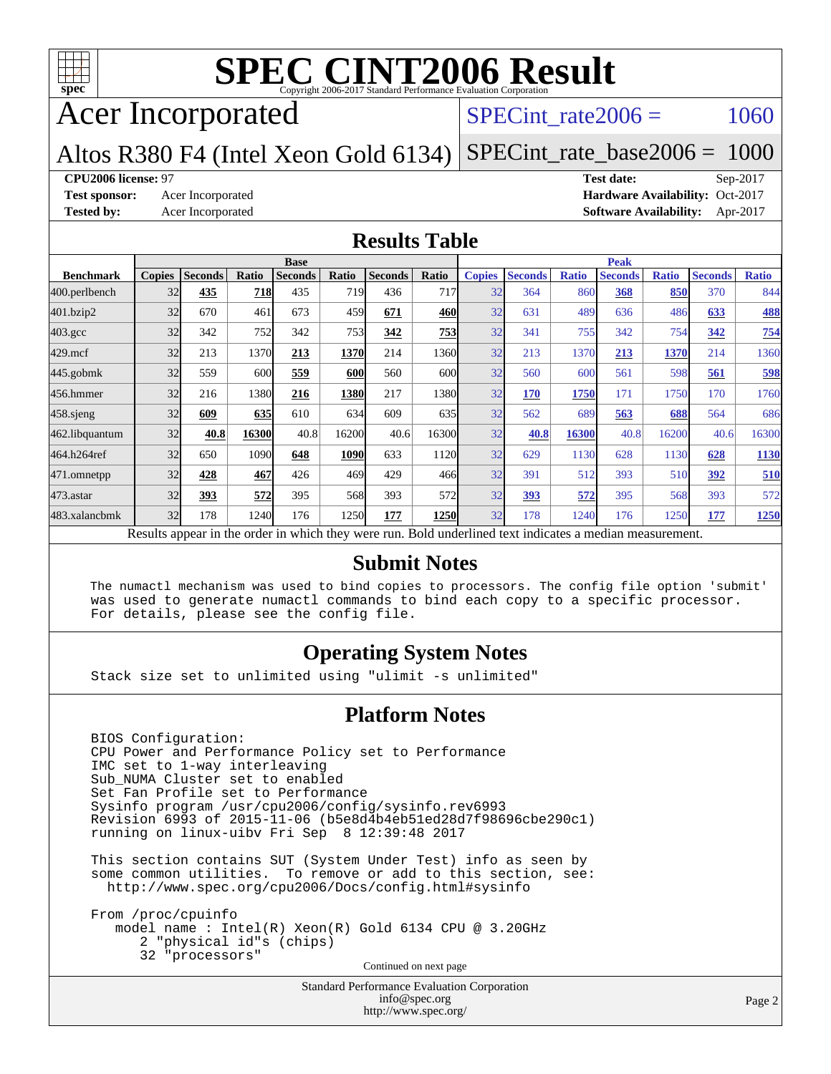

# Acer Incorporated

#### SPECint rate $2006 = 1060$

Altos R380 F4 (Intel Xeon Gold 6134) [SPECint\\_rate\\_base2006 =](http://www.spec.org/auto/cpu2006/Docs/result-fields.html#SPECintratebase2006) 1000

#### **[CPU2006 license:](http://www.spec.org/auto/cpu2006/Docs/result-fields.html#CPU2006license)** 97 **[Test date:](http://www.spec.org/auto/cpu2006/Docs/result-fields.html#Testdate)** Sep-2017

**[Test sponsor:](http://www.spec.org/auto/cpu2006/Docs/result-fields.html#Testsponsor)** Acer Incorporated **Acceleration Acer Incorporated <b>[Hardware Availability:](http://www.spec.org/auto/cpu2006/Docs/result-fields.html#HardwareAvailability)** Oct-2017 **[Tested by:](http://www.spec.org/auto/cpu2006/Docs/result-fields.html#Testedby)** Acer Incorporated **[Software Availability:](http://www.spec.org/auto/cpu2006/Docs/result-fields.html#SoftwareAvailability)** Apr-2017

#### **[Results Table](http://www.spec.org/auto/cpu2006/Docs/result-fields.html#ResultsTable)**

|                                                                                                          | <b>Base</b> |                |       |                |            |                | <b>Peak</b> |               |                |              |                |              |                |              |
|----------------------------------------------------------------------------------------------------------|-------------|----------------|-------|----------------|------------|----------------|-------------|---------------|----------------|--------------|----------------|--------------|----------------|--------------|
| <b>Benchmark</b>                                                                                         |             | Copies Seconds | Ratio | <b>Seconds</b> | Ratio      | <b>Seconds</b> | Ratio       | <b>Copies</b> | <b>Seconds</b> | <b>Ratio</b> | <b>Seconds</b> | <b>Ratio</b> | <b>Seconds</b> | <b>Ratio</b> |
| 400.perlbench                                                                                            | 32          | 435            | 718   | 435            | 719        | 436            | 717         | 32            | 364            | 860          | 368            | 850          | 370            | 844          |
| 401.bzip2                                                                                                | 32          | 670            | 461   | 673            | 459        | 671            | 460         | 32            | 631            | 489          | 636            | 486          | 633            | 488          |
| $403.\mathrm{gcc}$                                                                                       | 32          | 342            | 752   | 342            | <b>753</b> | 342            | 753         | 32            | 341            | 755          | 342            | 754          | 342            | 754          |
| $429$ .mcf                                                                                               | 32          | 213            | 1370  | 213            | 1370       | 214            | 1360        | 32            | 213            | 1370         | 213            | 1370         | 214            | 1360         |
| $445$ .gobmk                                                                                             | 32          | 559            | 600   | 559            | <b>600</b> | 560            | 600         | 32            | 560            | 600          | 561            | 598          | 561            | 598          |
| 456.hmmer                                                                                                | 32          | 216            | 1380  | 216            | 1380       | 217            | 1380        | 32            | 170            | 1750         | 171            | 1750         | 170            | 1760         |
| $458$ .sjeng                                                                                             | 32          | 609            | 635   | 610            | 634        | 609            | 635         | 32            | 562            | 689          | 563            | 688          | 564            | 686          |
| 462.libquantum                                                                                           | 32          | 40.8           | 16300 | 40.8           | 16200      | 40.6           | 16300       | 32            | 40.8           | 16300        | 40.8           | 16200        | 40.6           | 16300        |
| 464.h264ref                                                                                              | 32          | 650            | 1090  | 648            | 1090       | 633            | 1120        | 32            | 629            | 1130         | 628            | 1130         | 628            | 1130         |
| 471.omnetpp                                                                                              | 32          | 428            | 467   | 426            | 469        | 429            | 466         | 32            | 391            | 512          | 393            | 510          | 392            | 510          |
| 473.astar                                                                                                | 32          | 393            | 572   | 395            | 568        | 393            | 572         | 32            | 393            | 572          | 395            | 568          | 393            | 572          |
| 483.xalancbmk                                                                                            | 32          | 178            | 1240  | 176            | 1250       | 177            | 1250        | 32            | 178            | 1240         | 176            | 1250         | 177            | 1250         |
| Results appear in the order in which they were run. Bold underlined text indicates a median measurement. |             |                |       |                |            |                |             |               |                |              |                |              |                |              |

#### **[Submit Notes](http://www.spec.org/auto/cpu2006/Docs/result-fields.html#SubmitNotes)**

 The numactl mechanism was used to bind copies to processors. The config file option 'submit' was used to generate numactl commands to bind each copy to a specific processor. For details, please see the config file.

#### **[Operating System Notes](http://www.spec.org/auto/cpu2006/Docs/result-fields.html#OperatingSystemNotes)**

Stack size set to unlimited using "ulimit -s unlimited"

#### **[Platform Notes](http://www.spec.org/auto/cpu2006/Docs/result-fields.html#PlatformNotes)**

 BIOS Configuration: CPU Power and Performance Policy set to Performance IMC set to 1-way interleaving Sub\_NUMA Cluster set to enabled Set Fan Profile set to Performance Sysinfo program /usr/cpu2006/config/sysinfo.rev6993 Revision 6993 of 2015-11-06 (b5e8d4b4eb51ed28d7f98696cbe290c1) running on linux-uibv Fri Sep 8 12:39:48 2017

 This section contains SUT (System Under Test) info as seen by some common utilities. To remove or add to this section, see: <http://www.spec.org/cpu2006/Docs/config.html#sysinfo>

 From /proc/cpuinfo model name : Intel(R) Xeon(R) Gold 6134 CPU @ 3.20GHz 2 "physical id"s (chips) 32 "processors" Continued on next page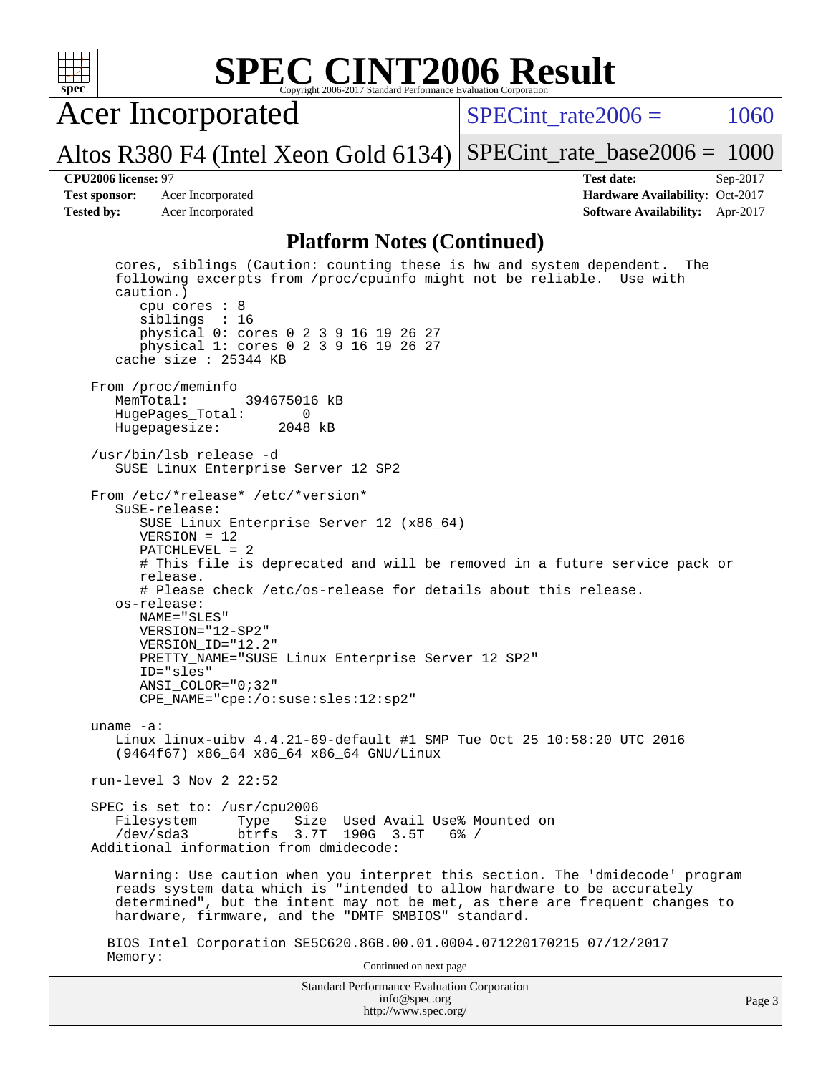

Acer Incorporated

SPECint rate $2006 = 1060$ 

Altos R380 F4 (Intel Xeon Gold 6134) [SPECint\\_rate\\_base2006 =](http://www.spec.org/auto/cpu2006/Docs/result-fields.html#SPECintratebase2006) 1000

**[Test sponsor:](http://www.spec.org/auto/cpu2006/Docs/result-fields.html#Testsponsor)** Acer Incorporated **Acceleration Availability:** Oct-2017

**[CPU2006 license:](http://www.spec.org/auto/cpu2006/Docs/result-fields.html#CPU2006license)** 97 **[Test date:](http://www.spec.org/auto/cpu2006/Docs/result-fields.html#Testdate)** Sep-2017 **[Tested by:](http://www.spec.org/auto/cpu2006/Docs/result-fields.html#Testedby)** Acer Incorporated **[Software Availability:](http://www.spec.org/auto/cpu2006/Docs/result-fields.html#SoftwareAvailability)** Apr-2017

#### **[Platform Notes \(Continued\)](http://www.spec.org/auto/cpu2006/Docs/result-fields.html#PlatformNotes)**

Standard Performance Evaluation Corporation [info@spec.org](mailto:info@spec.org) <http://www.spec.org/> cores, siblings (Caution: counting these is hw and system dependent. The following excerpts from /proc/cpuinfo might not be reliable. Use with caution.) cpu cores : 8 siblings : 16 physical 0: cores 0 2 3 9 16 19 26 27 physical 1: cores 0 2 3 9 16 19 26 27 cache size : 25344 KB From /proc/meminfo<br>MemTotal: 394675016 kB HugePages\_Total: 0 Hugepagesize: 2048 kB /usr/bin/lsb\_release -d SUSE Linux Enterprise Server 12 SP2 From /etc/\*release\* /etc/\*version\* SuSE-release: SUSE Linux Enterprise Server 12 (x86\_64) VERSION = 12 PATCHLEVEL = 2 # This file is deprecated and will be removed in a future service pack or release. # Please check /etc/os-release for details about this release. os-release: NAME="SLES" VERSION="12-SP2" VERSION\_ID="12.2" PRETTY\_NAME="SUSE Linux Enterprise Server 12 SP2" ID="sles" ANSI\_COLOR="0;32" CPE\_NAME="cpe:/o:suse:sles:12:sp2" uname -a: Linux linux-uibv 4.4.21-69-default #1 SMP Tue Oct 25 10:58:20 UTC 2016 (9464f67) x86\_64 x86\_64 x86\_64 GNU/Linux run-level 3 Nov 2 22:52 SPEC is set to: /usr/cpu2006 Filesystem Type Size Used Avail Use% Mounted on<br>
/dev/sda3 btrfs 3.7T 190G 3.5T 6% / btrfs 3.7T 190G 3.5T Additional information from dmidecode: Warning: Use caution when you interpret this section. The 'dmidecode' program reads system data which is "intended to allow hardware to be accurately determined", but the intent may not be met, as there are frequent changes to hardware, firmware, and the "DMTF SMBIOS" standard. BIOS Intel Corporation SE5C620.86B.00.01.0004.071220170215 07/12/2017 Memory: Continued on next page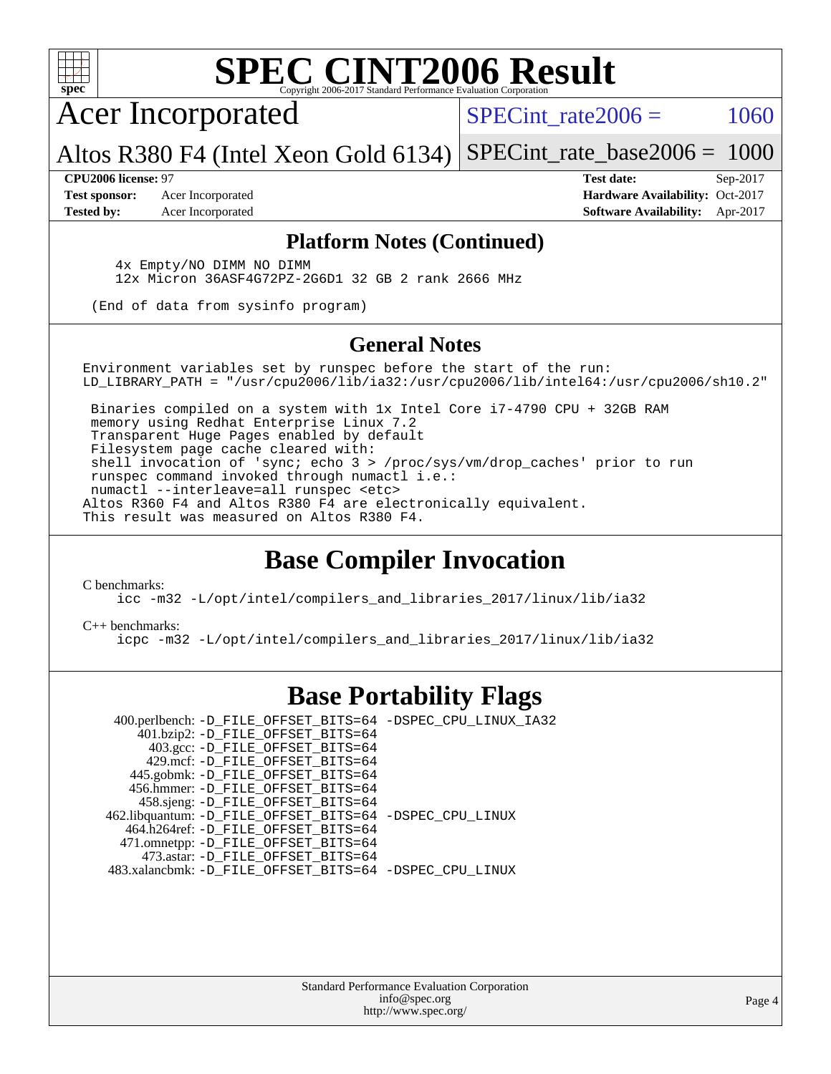

Acer Incorporated

SPECint rate $2006 = 1060$ 

Altos R380 F4 (Intel Xeon Gold 6134) [SPECint\\_rate\\_base2006 =](http://www.spec.org/auto/cpu2006/Docs/result-fields.html#SPECintratebase2006) 1000

**[Test sponsor:](http://www.spec.org/auto/cpu2006/Docs/result-fields.html#Testsponsor)** Acer Incorporated **Acceleration Availability:** Oct-2017

**[CPU2006 license:](http://www.spec.org/auto/cpu2006/Docs/result-fields.html#CPU2006license)** 97 **[Test date:](http://www.spec.org/auto/cpu2006/Docs/result-fields.html#Testdate)** Sep-2017 **[Tested by:](http://www.spec.org/auto/cpu2006/Docs/result-fields.html#Testedby)** Acer Incorporated **[Software Availability:](http://www.spec.org/auto/cpu2006/Docs/result-fields.html#SoftwareAvailability)** Apr-2017

#### **[Platform Notes \(Continued\)](http://www.spec.org/auto/cpu2006/Docs/result-fields.html#PlatformNotes)**

 4x Empty/NO DIMM NO DIMM 12x Micron 36ASF4G72PZ-2G6D1 32 GB 2 rank 2666 MHz

(End of data from sysinfo program)

#### **[General Notes](http://www.spec.org/auto/cpu2006/Docs/result-fields.html#GeneralNotes)**

Environment variables set by runspec before the start of the run: LD\_LIBRARY\_PATH = "/usr/cpu2006/lib/ia32:/usr/cpu2006/lib/intel64:/usr/cpu2006/sh10.2"

 Binaries compiled on a system with 1x Intel Core i7-4790 CPU + 32GB RAM memory using Redhat Enterprise Linux 7.2 Transparent Huge Pages enabled by default Filesystem page cache cleared with: shell invocation of 'sync; echo 3 > /proc/sys/vm/drop\_caches' prior to run runspec command invoked through numactl i.e.: numactl --interleave=all runspec <etc> Altos R360 F4 and Altos R380 F4 are electronically equivalent. This result was measured on Altos R380 F4.

### **[Base Compiler Invocation](http://www.spec.org/auto/cpu2006/Docs/result-fields.html#BaseCompilerInvocation)**

[C benchmarks](http://www.spec.org/auto/cpu2006/Docs/result-fields.html#Cbenchmarks):

[icc -m32 -L/opt/intel/compilers\\_and\\_libraries\\_2017/linux/lib/ia32](http://www.spec.org/cpu2006/results/res2017q4/cpu2006-20170918-49413.flags.html#user_CCbase_intel_icc_c29f3ff5a7ed067b11e4ec10a03f03ae)

#### [C++ benchmarks:](http://www.spec.org/auto/cpu2006/Docs/result-fields.html#CXXbenchmarks)

[icpc -m32 -L/opt/intel/compilers\\_and\\_libraries\\_2017/linux/lib/ia32](http://www.spec.org/cpu2006/results/res2017q4/cpu2006-20170918-49413.flags.html#user_CXXbase_intel_icpc_8c35c7808b62dab9ae41a1aa06361b6b)

### **[Base Portability Flags](http://www.spec.org/auto/cpu2006/Docs/result-fields.html#BasePortabilityFlags)**

 400.perlbench: [-D\\_FILE\\_OFFSET\\_BITS=64](http://www.spec.org/cpu2006/results/res2017q4/cpu2006-20170918-49413.flags.html#user_basePORTABILITY400_perlbench_file_offset_bits_64_438cf9856305ebd76870a2c6dc2689ab) [-DSPEC\\_CPU\\_LINUX\\_IA32](http://www.spec.org/cpu2006/results/res2017q4/cpu2006-20170918-49413.flags.html#b400.perlbench_baseCPORTABILITY_DSPEC_CPU_LINUX_IA32) 401.bzip2: [-D\\_FILE\\_OFFSET\\_BITS=64](http://www.spec.org/cpu2006/results/res2017q4/cpu2006-20170918-49413.flags.html#user_basePORTABILITY401_bzip2_file_offset_bits_64_438cf9856305ebd76870a2c6dc2689ab) 403.gcc: [-D\\_FILE\\_OFFSET\\_BITS=64](http://www.spec.org/cpu2006/results/res2017q4/cpu2006-20170918-49413.flags.html#user_basePORTABILITY403_gcc_file_offset_bits_64_438cf9856305ebd76870a2c6dc2689ab) 429.mcf: [-D\\_FILE\\_OFFSET\\_BITS=64](http://www.spec.org/cpu2006/results/res2017q4/cpu2006-20170918-49413.flags.html#user_basePORTABILITY429_mcf_file_offset_bits_64_438cf9856305ebd76870a2c6dc2689ab) 445.gobmk: [-D\\_FILE\\_OFFSET\\_BITS=64](http://www.spec.org/cpu2006/results/res2017q4/cpu2006-20170918-49413.flags.html#user_basePORTABILITY445_gobmk_file_offset_bits_64_438cf9856305ebd76870a2c6dc2689ab) 456.hmmer: [-D\\_FILE\\_OFFSET\\_BITS=64](http://www.spec.org/cpu2006/results/res2017q4/cpu2006-20170918-49413.flags.html#user_basePORTABILITY456_hmmer_file_offset_bits_64_438cf9856305ebd76870a2c6dc2689ab) 458.sjeng: [-D\\_FILE\\_OFFSET\\_BITS=64](http://www.spec.org/cpu2006/results/res2017q4/cpu2006-20170918-49413.flags.html#user_basePORTABILITY458_sjeng_file_offset_bits_64_438cf9856305ebd76870a2c6dc2689ab) 462.libquantum: [-D\\_FILE\\_OFFSET\\_BITS=64](http://www.spec.org/cpu2006/results/res2017q4/cpu2006-20170918-49413.flags.html#user_basePORTABILITY462_libquantum_file_offset_bits_64_438cf9856305ebd76870a2c6dc2689ab) [-DSPEC\\_CPU\\_LINUX](http://www.spec.org/cpu2006/results/res2017q4/cpu2006-20170918-49413.flags.html#b462.libquantum_baseCPORTABILITY_DSPEC_CPU_LINUX) 464.h264ref: [-D\\_FILE\\_OFFSET\\_BITS=64](http://www.spec.org/cpu2006/results/res2017q4/cpu2006-20170918-49413.flags.html#user_basePORTABILITY464_h264ref_file_offset_bits_64_438cf9856305ebd76870a2c6dc2689ab) 471.omnetpp: [-D\\_FILE\\_OFFSET\\_BITS=64](http://www.spec.org/cpu2006/results/res2017q4/cpu2006-20170918-49413.flags.html#user_basePORTABILITY471_omnetpp_file_offset_bits_64_438cf9856305ebd76870a2c6dc2689ab) 473.astar: [-D\\_FILE\\_OFFSET\\_BITS=64](http://www.spec.org/cpu2006/results/res2017q4/cpu2006-20170918-49413.flags.html#user_basePORTABILITY473_astar_file_offset_bits_64_438cf9856305ebd76870a2c6dc2689ab) 483.xalancbmk: [-D\\_FILE\\_OFFSET\\_BITS=64](http://www.spec.org/cpu2006/results/res2017q4/cpu2006-20170918-49413.flags.html#user_basePORTABILITY483_xalancbmk_file_offset_bits_64_438cf9856305ebd76870a2c6dc2689ab) [-DSPEC\\_CPU\\_LINUX](http://www.spec.org/cpu2006/results/res2017q4/cpu2006-20170918-49413.flags.html#b483.xalancbmk_baseCXXPORTABILITY_DSPEC_CPU_LINUX)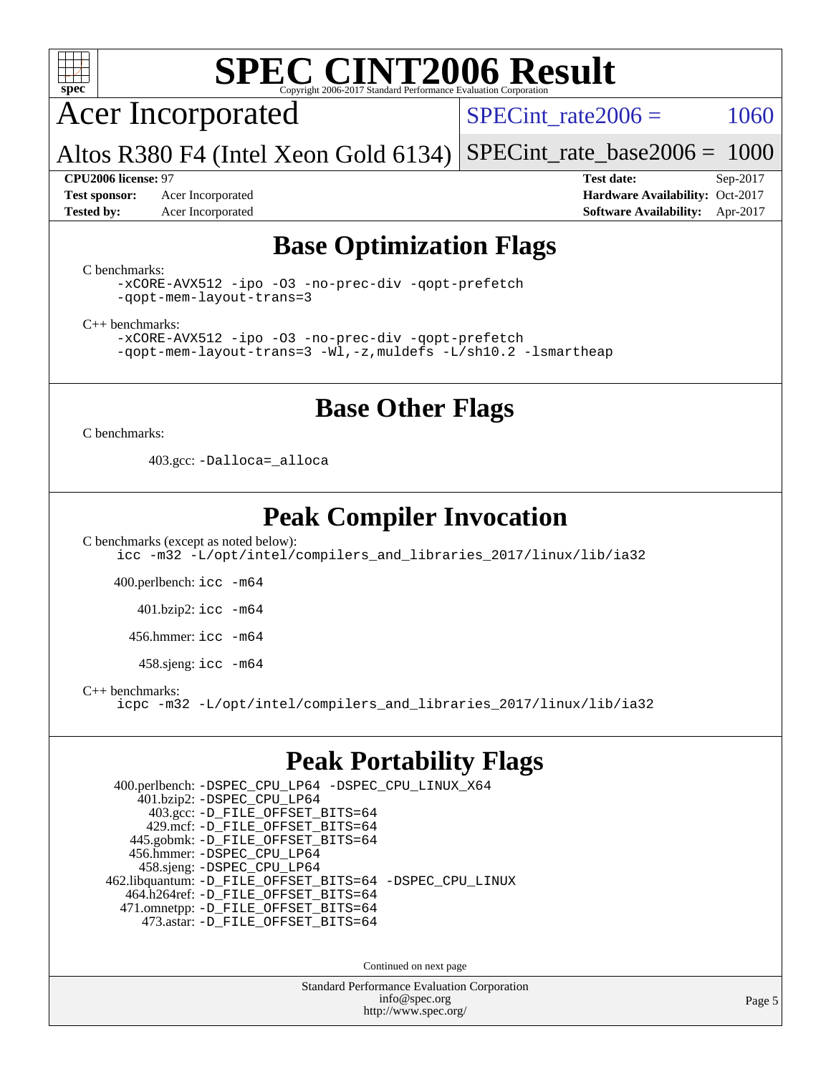

Acer Incorporated

SPECint rate $2006 = 1060$ 

Altos R380 F4 (Intel Xeon Gold 6134) [SPECint\\_rate\\_base2006 =](http://www.spec.org/auto/cpu2006/Docs/result-fields.html#SPECintratebase2006) 1000

**[Test sponsor:](http://www.spec.org/auto/cpu2006/Docs/result-fields.html#Testsponsor)** Acer Incorporated **Acceleration Availability:** Oct-2017

**[CPU2006 license:](http://www.spec.org/auto/cpu2006/Docs/result-fields.html#CPU2006license)** 97 **[Test date:](http://www.spec.org/auto/cpu2006/Docs/result-fields.html#Testdate)** Sep-2017 **[Tested by:](http://www.spec.org/auto/cpu2006/Docs/result-fields.html#Testedby)** Acer Incorporated **[Software Availability:](http://www.spec.org/auto/cpu2006/Docs/result-fields.html#SoftwareAvailability)** Apr-2017

### **[Base Optimization Flags](http://www.spec.org/auto/cpu2006/Docs/result-fields.html#BaseOptimizationFlags)**

[C benchmarks](http://www.spec.org/auto/cpu2006/Docs/result-fields.html#Cbenchmarks):

[-xCORE-AVX512](http://www.spec.org/cpu2006/results/res2017q4/cpu2006-20170918-49413.flags.html#user_CCbase_f-xCORE-AVX512) [-ipo](http://www.spec.org/cpu2006/results/res2017q4/cpu2006-20170918-49413.flags.html#user_CCbase_f-ipo) [-O3](http://www.spec.org/cpu2006/results/res2017q4/cpu2006-20170918-49413.flags.html#user_CCbase_f-O3) [-no-prec-div](http://www.spec.org/cpu2006/results/res2017q4/cpu2006-20170918-49413.flags.html#user_CCbase_f-no-prec-div) [-qopt-prefetch](http://www.spec.org/cpu2006/results/res2017q4/cpu2006-20170918-49413.flags.html#user_CCbase_f-qopt-prefetch) [-qopt-mem-layout-trans=3](http://www.spec.org/cpu2006/results/res2017q4/cpu2006-20170918-49413.flags.html#user_CCbase_f-qopt-mem-layout-trans_170f5be61cd2cedc9b54468c59262d5d)

[C++ benchmarks:](http://www.spec.org/auto/cpu2006/Docs/result-fields.html#CXXbenchmarks)

[-xCORE-AVX512](http://www.spec.org/cpu2006/results/res2017q4/cpu2006-20170918-49413.flags.html#user_CXXbase_f-xCORE-AVX512) [-ipo](http://www.spec.org/cpu2006/results/res2017q4/cpu2006-20170918-49413.flags.html#user_CXXbase_f-ipo) [-O3](http://www.spec.org/cpu2006/results/res2017q4/cpu2006-20170918-49413.flags.html#user_CXXbase_f-O3) [-no-prec-div](http://www.spec.org/cpu2006/results/res2017q4/cpu2006-20170918-49413.flags.html#user_CXXbase_f-no-prec-div) [-qopt-prefetch](http://www.spec.org/cpu2006/results/res2017q4/cpu2006-20170918-49413.flags.html#user_CXXbase_f-qopt-prefetch) [-qopt-mem-layout-trans=3](http://www.spec.org/cpu2006/results/res2017q4/cpu2006-20170918-49413.flags.html#user_CXXbase_f-qopt-mem-layout-trans_170f5be61cd2cedc9b54468c59262d5d) [-Wl,-z,muldefs](http://www.spec.org/cpu2006/results/res2017q4/cpu2006-20170918-49413.flags.html#user_CXXbase_link_force_multiple1_74079c344b956b9658436fd1b6dd3a8a) [-L/sh10.2 -lsmartheap](http://www.spec.org/cpu2006/results/res2017q4/cpu2006-20170918-49413.flags.html#user_CXXbase_SmartHeap_b831f2d313e2fffa6dfe3f00ffc1f1c0)

### **[Base Other Flags](http://www.spec.org/auto/cpu2006/Docs/result-fields.html#BaseOtherFlags)**

[C benchmarks](http://www.spec.org/auto/cpu2006/Docs/result-fields.html#Cbenchmarks):

403.gcc: [-Dalloca=\\_alloca](http://www.spec.org/cpu2006/results/res2017q4/cpu2006-20170918-49413.flags.html#b403.gcc_baseEXTRA_CFLAGS_Dalloca_be3056838c12de2578596ca5467af7f3)

### **[Peak Compiler Invocation](http://www.spec.org/auto/cpu2006/Docs/result-fields.html#PeakCompilerInvocation)**

[C benchmarks \(except as noted below\)](http://www.spec.org/auto/cpu2006/Docs/result-fields.html#Cbenchmarksexceptasnotedbelow): [icc -m32 -L/opt/intel/compilers\\_and\\_libraries\\_2017/linux/lib/ia32](http://www.spec.org/cpu2006/results/res2017q4/cpu2006-20170918-49413.flags.html#user_CCpeak_intel_icc_c29f3ff5a7ed067b11e4ec10a03f03ae)

400.perlbench: [icc -m64](http://www.spec.org/cpu2006/results/res2017q4/cpu2006-20170918-49413.flags.html#user_peakCCLD400_perlbench_intel_icc_64bit_bda6cc9af1fdbb0edc3795bac97ada53)

401.bzip2: [icc -m64](http://www.spec.org/cpu2006/results/res2017q4/cpu2006-20170918-49413.flags.html#user_peakCCLD401_bzip2_intel_icc_64bit_bda6cc9af1fdbb0edc3795bac97ada53)

456.hmmer: [icc -m64](http://www.spec.org/cpu2006/results/res2017q4/cpu2006-20170918-49413.flags.html#user_peakCCLD456_hmmer_intel_icc_64bit_bda6cc9af1fdbb0edc3795bac97ada53)

458.sjeng: [icc -m64](http://www.spec.org/cpu2006/results/res2017q4/cpu2006-20170918-49413.flags.html#user_peakCCLD458_sjeng_intel_icc_64bit_bda6cc9af1fdbb0edc3795bac97ada53)

[C++ benchmarks:](http://www.spec.org/auto/cpu2006/Docs/result-fields.html#CXXbenchmarks)

[icpc -m32 -L/opt/intel/compilers\\_and\\_libraries\\_2017/linux/lib/ia32](http://www.spec.org/cpu2006/results/res2017q4/cpu2006-20170918-49413.flags.html#user_CXXpeak_intel_icpc_8c35c7808b62dab9ae41a1aa06361b6b)

### **[Peak Portability Flags](http://www.spec.org/auto/cpu2006/Docs/result-fields.html#PeakPortabilityFlags)**

 400.perlbench: [-DSPEC\\_CPU\\_LP64](http://www.spec.org/cpu2006/results/res2017q4/cpu2006-20170918-49413.flags.html#b400.perlbench_peakCPORTABILITY_DSPEC_CPU_LP64) [-DSPEC\\_CPU\\_LINUX\\_X64](http://www.spec.org/cpu2006/results/res2017q4/cpu2006-20170918-49413.flags.html#b400.perlbench_peakCPORTABILITY_DSPEC_CPU_LINUX_X64) 401.bzip2: [-DSPEC\\_CPU\\_LP64](http://www.spec.org/cpu2006/results/res2017q4/cpu2006-20170918-49413.flags.html#suite_peakCPORTABILITY401_bzip2_DSPEC_CPU_LP64) 403.gcc: [-D\\_FILE\\_OFFSET\\_BITS=64](http://www.spec.org/cpu2006/results/res2017q4/cpu2006-20170918-49413.flags.html#user_peakPORTABILITY403_gcc_file_offset_bits_64_438cf9856305ebd76870a2c6dc2689ab) 429.mcf: [-D\\_FILE\\_OFFSET\\_BITS=64](http://www.spec.org/cpu2006/results/res2017q4/cpu2006-20170918-49413.flags.html#user_peakPORTABILITY429_mcf_file_offset_bits_64_438cf9856305ebd76870a2c6dc2689ab) 445.gobmk: [-D\\_FILE\\_OFFSET\\_BITS=64](http://www.spec.org/cpu2006/results/res2017q4/cpu2006-20170918-49413.flags.html#user_peakPORTABILITY445_gobmk_file_offset_bits_64_438cf9856305ebd76870a2c6dc2689ab) 456.hmmer: [-DSPEC\\_CPU\\_LP64](http://www.spec.org/cpu2006/results/res2017q4/cpu2006-20170918-49413.flags.html#suite_peakCPORTABILITY456_hmmer_DSPEC_CPU_LP64) 458.sjeng: [-DSPEC\\_CPU\\_LP64](http://www.spec.org/cpu2006/results/res2017q4/cpu2006-20170918-49413.flags.html#suite_peakCPORTABILITY458_sjeng_DSPEC_CPU_LP64) 462.libquantum: [-D\\_FILE\\_OFFSET\\_BITS=64](http://www.spec.org/cpu2006/results/res2017q4/cpu2006-20170918-49413.flags.html#user_peakPORTABILITY462_libquantum_file_offset_bits_64_438cf9856305ebd76870a2c6dc2689ab) [-DSPEC\\_CPU\\_LINUX](http://www.spec.org/cpu2006/results/res2017q4/cpu2006-20170918-49413.flags.html#b462.libquantum_peakCPORTABILITY_DSPEC_CPU_LINUX) 464.h264ref: [-D\\_FILE\\_OFFSET\\_BITS=64](http://www.spec.org/cpu2006/results/res2017q4/cpu2006-20170918-49413.flags.html#user_peakPORTABILITY464_h264ref_file_offset_bits_64_438cf9856305ebd76870a2c6dc2689ab) 471.omnetpp: [-D\\_FILE\\_OFFSET\\_BITS=64](http://www.spec.org/cpu2006/results/res2017q4/cpu2006-20170918-49413.flags.html#user_peakPORTABILITY471_omnetpp_file_offset_bits_64_438cf9856305ebd76870a2c6dc2689ab) 473.astar: [-D\\_FILE\\_OFFSET\\_BITS=64](http://www.spec.org/cpu2006/results/res2017q4/cpu2006-20170918-49413.flags.html#user_peakPORTABILITY473_astar_file_offset_bits_64_438cf9856305ebd76870a2c6dc2689ab)

Continued on next page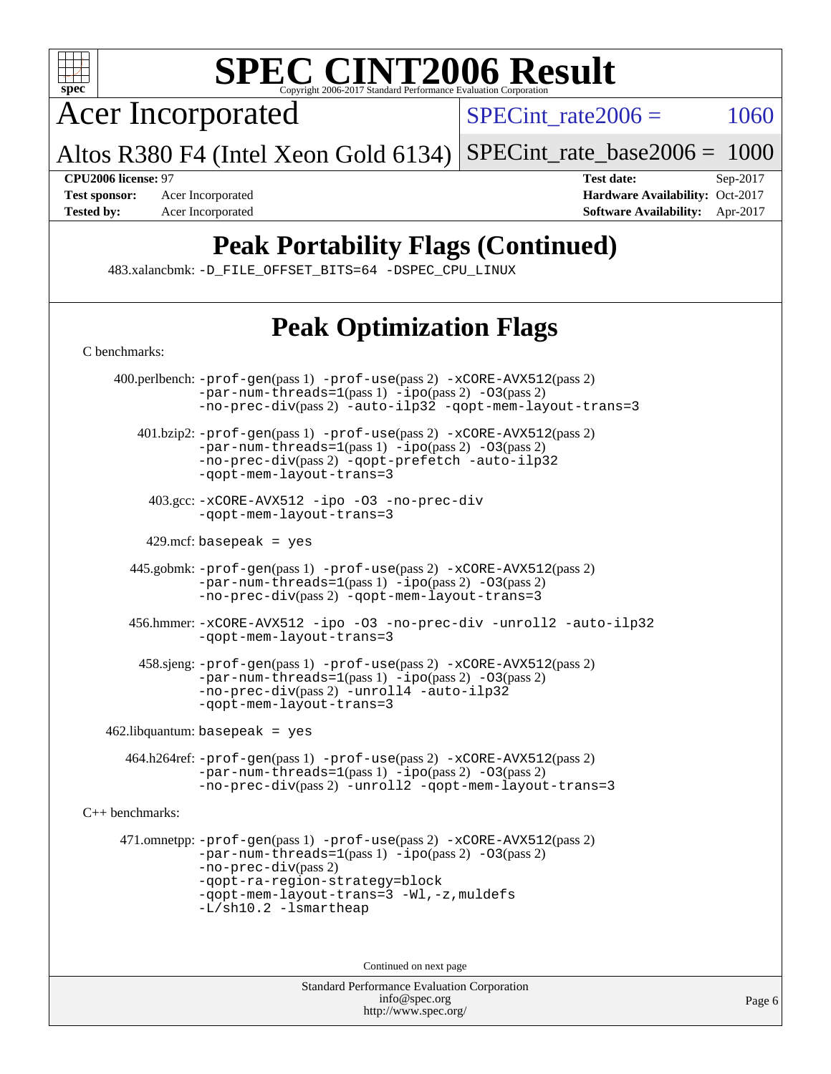

Acer Incorporated

 $SPECTnt_rate2006 = 1060$ 

Altos R380 F4 (Intel Xeon Gold 6134) [SPECint\\_rate\\_base2006 =](http://www.spec.org/auto/cpu2006/Docs/result-fields.html#SPECintratebase2006) 1000

**[CPU2006 license:](http://www.spec.org/auto/cpu2006/Docs/result-fields.html#CPU2006license)** 97 **[Test date:](http://www.spec.org/auto/cpu2006/Docs/result-fields.html#Testdate)** Sep-2017 **[Test sponsor:](http://www.spec.org/auto/cpu2006/Docs/result-fields.html#Testsponsor)** Acer Incorporated **[Hardware Availability:](http://www.spec.org/auto/cpu2006/Docs/result-fields.html#HardwareAvailability)** Oct-2017 **[Tested by:](http://www.spec.org/auto/cpu2006/Docs/result-fields.html#Testedby)** Acer Incorporated **[Software Availability:](http://www.spec.org/auto/cpu2006/Docs/result-fields.html#SoftwareAvailability)** Apr-2017

## **[Peak Portability Flags \(Continued\)](http://www.spec.org/auto/cpu2006/Docs/result-fields.html#PeakPortabilityFlags)**

483.xalancbmk: [-D\\_FILE\\_OFFSET\\_BITS=64](http://www.spec.org/cpu2006/results/res2017q4/cpu2006-20170918-49413.flags.html#user_peakPORTABILITY483_xalancbmk_file_offset_bits_64_438cf9856305ebd76870a2c6dc2689ab) [-DSPEC\\_CPU\\_LINUX](http://www.spec.org/cpu2006/results/res2017q4/cpu2006-20170918-49413.flags.html#b483.xalancbmk_peakCXXPORTABILITY_DSPEC_CPU_LINUX)

## **[Peak Optimization Flags](http://www.spec.org/auto/cpu2006/Docs/result-fields.html#PeakOptimizationFlags)**

| C benchmarks:          |                                                                                                                                                                                                                                                                       |  |  |
|------------------------|-----------------------------------------------------------------------------------------------------------------------------------------------------------------------------------------------------------------------------------------------------------------------|--|--|
|                        | 400.perlbench: -prof-gen(pass 1) -prof-use(pass 2) -xCORE-AVX512(pass 2)<br>$-par-num-threads=1(pass 1) -ipo(pass 2) -03(pass 2)$<br>-no-prec-div(pass 2) -auto-ilp32 -qopt-mem-layout-trans=3                                                                        |  |  |
|                        | 401.bzip2: -prof-gen(pass 1) -prof-use(pass 2) -xCORE-AVX512(pass 2)<br>$-par-num-threads=1(pass 1) -ipo(pass 2) -03(pass 2)$<br>-no-prec-div(pass 2) -qopt-prefetch -auto-ilp32<br>-gopt-mem-layout-trans=3                                                          |  |  |
|                        | 403.gcc: -xCORE-AVX512 -ipo -03 -no-prec-div<br>-gopt-mem-layout-trans=3                                                                                                                                                                                              |  |  |
|                        | 429.mcf: basepeak = $yes$                                                                                                                                                                                                                                             |  |  |
|                        | 445.gobmk: -prof-gen(pass 1) -prof-use(pass 2) -xCORE-AVX512(pass 2)<br>$-par-num-threads=1(pass 1) -ipo(pass 2) -03(pass 2)$<br>-no-prec-div(pass 2) -qopt-mem-layout-trans=3                                                                                        |  |  |
|                        | 456.hmmer: -xCORE-AVX512 -ipo -03 -no-prec-div -unroll2 -auto-ilp32<br>-gopt-mem-layout-trans=3                                                                                                                                                                       |  |  |
|                        | 458.sjeng: -prof-gen(pass 1) -prof-use(pass 2) -xCORE-AVX512(pass 2)<br>$-par-num-threads=1(pass 1) -ipo(pass 2) -03(pass 2)$<br>-no-prec-div(pass 2) -unroll4 -auto-ilp32<br>-gopt-mem-layout-trans=3                                                                |  |  |
|                        | $462$ .libquantum: basepeak = yes                                                                                                                                                                                                                                     |  |  |
|                        | 464.h264ref: -prof-gen(pass 1) -prof-use(pass 2) -xCORE-AVX512(pass 2)<br>$-par-num-threads=1(pass 1) -ipo(pass 2) -03(pass 2)$<br>-no-prec-div(pass 2) -unroll2 -qopt-mem-layout-trans=3                                                                             |  |  |
| $C_{++}$ benchmarks:   |                                                                                                                                                                                                                                                                       |  |  |
|                        | 471.omnetpp: -prof-gen(pass 1) -prof-use(pass 2) -xCORE-AVX512(pass 2)<br>$-par-num-threads=1(pass 1) -ipo(pass 2) -03(pass 2)$<br>$-no-prec-div(pass 2)$<br>-qopt-ra-region-strategy=block<br>-qopt-mem-layout-trans=3 -Wl,-z, muldefs<br>$-L/\nsh10.2 - lsmartheap$ |  |  |
| Continued on next page |                                                                                                                                                                                                                                                                       |  |  |
|                        | <b>Standard Performance Evaluation Corporation</b><br>info@spec.org                                                                                                                                                                                                   |  |  |

<http://www.spec.org/>